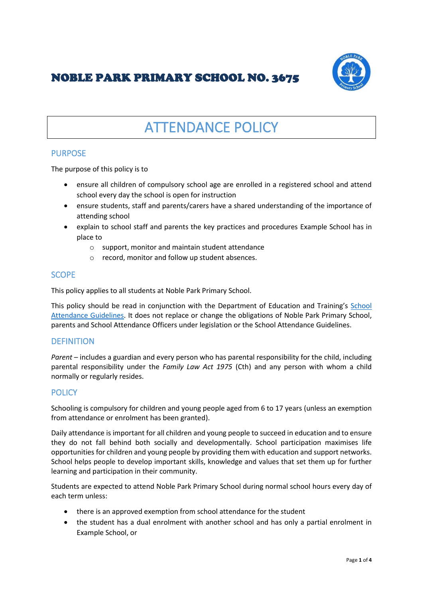# NOBLE PARK PRIMARY SCHOOL NO. 3675



# ATTENDANCE POLICY

# PURPOSE

The purpose of this policy is to

- ensure all children of compulsory school age are enrolled in a registered school and attend school every day the school is open for instruction
- ensure students, staff and parents/carers have a shared understanding of the importance of attending school
- explain to school staff and parents the key practices and procedures Example School has in place to
	- o support, monitor and maintain student attendance
	- o record, monitor and follow up student absences.

# **SCOPE**

This policy applies to all students at Noble Park Primary School.

This policy should be read in conjunction with the Department of Education and Training's [School](https://www.education.vic.gov.au/school/teachers/studentmanagement/attendance/Pages/default.aspx)  [Attendance Guidelines.](https://www.education.vic.gov.au/school/teachers/studentmanagement/attendance/Pages/default.aspx) It does not replace or change the obligations of Noble Park Primary School, parents and School Attendance Officers under legislation or the School Attendance Guidelines.

## **DEFINITION**

*Parent* – includes a guardian and every person who has parental responsibility for the child, including parental responsibility under the *Family Law Act 1975* (Cth) and any person with whom a child normally or regularly resides.

## **POLICY**

Schooling is compulsory for children and young people aged from 6 to 17 years (unless an exemption from attendance or enrolment has been granted).

Daily attendance is important for all children and young people to succeed in education and to ensure they do not fall behind both socially and developmentally. School participation maximises life opportunities for children and young people by providing them with education and support networks. School helps people to develop important skills, knowledge and values that set them up for further learning and participation in their community.

Students are expected to attend Noble Park Primary School during normal school hours every day of each term unless:

- there is an approved exemption from school attendance for the student
- the student has a dual enrolment with another school and has only a partial enrolment in Example School, or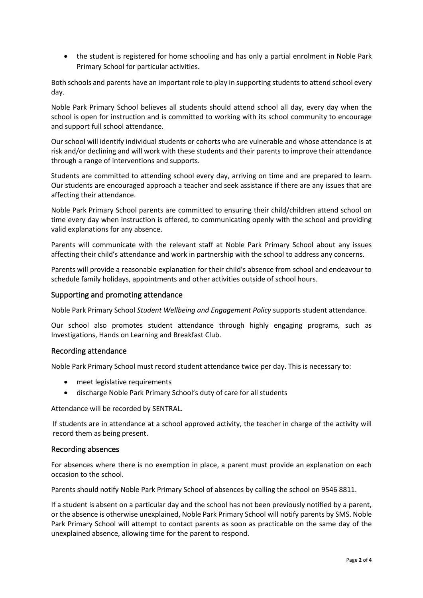• the student is registered for home schooling and has only a partial enrolment in Noble Park Primary School for particular activities.

Both schools and parents have an important role to play in supporting students to attend school every day.

Noble Park Primary School believes all students should attend school all day, every day when the school is open for instruction and is committed to working with its school community to encourage and support full school attendance.

Our school will identify individual students or cohorts who are vulnerable and whose attendance is at risk and/or declining and will work with these students and their parents to improve their attendance through a range of interventions and supports.

Students are committed to attending school every day, arriving on time and are prepared to learn. Our students are encouraged approach a teacher and seek assistance if there are any issues that are affecting their attendance.

Noble Park Primary School parents are committed to ensuring their child/children attend school on time every day when instruction is offered, to communicating openly with the school and providing valid explanations for any absence.

Parents will communicate with the relevant staff at Noble Park Primary School about any issues affecting their child's attendance and work in partnership with the school to address any concerns.

Parents will provide a reasonable explanation for their child's absence from school and endeavour to schedule family holidays, appointments and other activities outside of school hours.

#### Supporting and promoting attendance

Noble Park Primary School *Student Wellbeing and Engagement Policy* supports student attendance.

Our school also promotes student attendance through highly engaging programs, such as Investigations, Hands on Learning and Breakfast Club.

#### Recording attendance

Noble Park Primary School must record student attendance twice per day. This is necessary to:

- meet legislative requirements
- discharge Noble Park Primary School's duty of care for all students

Attendance will be recorded by SENTRAL.

If students are in attendance at a school approved activity, the teacher in charge of the activity will record them as being present.

#### Recording absences

For absences where there is no exemption in place, a parent must provide an explanation on each occasion to the school.

Parents should notify Noble Park Primary School of absences by calling the school on 9546 8811.

If a student is absent on a particular day and the school has not been previously notified by a parent, or the absence is otherwise unexplained, Noble Park Primary School will notify parents by SMS. Noble Park Primary School will attempt to contact parents as soon as practicable on the same day of the unexplained absence, allowing time for the parent to respond.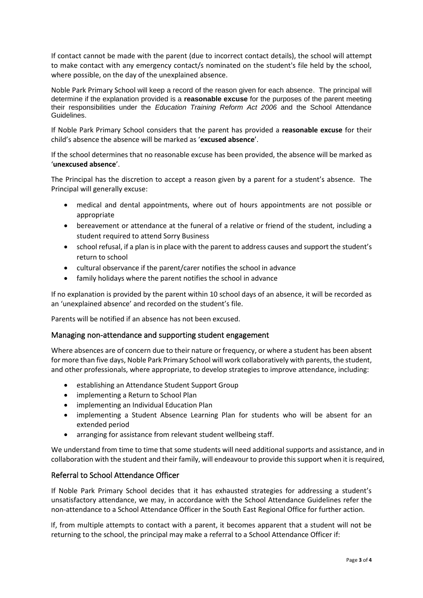If contact cannot be made with the parent (due to incorrect contact details), the school will attempt to make contact with any emergency contact/s nominated on the student's file held by the school, where possible, on the day of the unexplained absence.

Noble Park Primary School will keep a record of the reason given for each absence. The principal will determine if the explanation provided is a **reasonable excuse** for the purposes of the parent meeting their responsibilities under the *Education Training Reform Act 2006* and the School Attendance Guidelines.

If Noble Park Primary School considers that the parent has provided a **reasonable excuse** for their child's absence the absence will be marked as '**excused absence**'.

If the school determines that no reasonable excuse has been provided, the absence will be marked as '**unexcused absence**'.

The Principal has the discretion to accept a reason given by a parent for a student's absence. The Principal will generally excuse:

- medical and dental appointments, where out of hours appointments are not possible or appropriate
- bereavement or attendance at the funeral of a relative or friend of the student, including a student required to attend Sorry Business
- school refusal, if a plan is in place with the parent to address causes and support the student's return to school
- cultural observance if the parent/carer notifies the school in advance
- family holidays where the parent notifies the school in advance

If no explanation is provided by the parent within 10 school days of an absence, it will be recorded as an 'unexplained absence' and recorded on the student's file.

Parents will be notified if an absence has not been excused.

#### Managing non-attendance and supporting student engagement

Where absences are of concern due to their nature or frequency, or where a student has been absent for more than five days, Noble Park Primary School will work collaboratively with parents, the student, and other professionals, where appropriate, to develop strategies to improve attendance, including:

- establishing an Attendance Student Support Group
- implementing a Return to School Plan
- implementing an Individual Education Plan
- implementing a Student Absence Learning Plan for students who will be absent for an extended period
- arranging for assistance from relevant student wellbeing staff.

We understand from time to time that some students will need additional supports and assistance, and in collaboration with the student and their family, will endeavour to provide this support when it is required,

#### Referral to School Attendance Officer

If Noble Park Primary School decides that it has exhausted strategies for addressing a student's unsatisfactory attendance, we may, in accordance with the School Attendance Guidelines refer the non-attendance to a School Attendance Officer in the South East Regional Office for further action.

If, from multiple attempts to contact with a parent, it becomes apparent that a student will not be returning to the school, the principal may make a referral to a School Attendance Officer if: